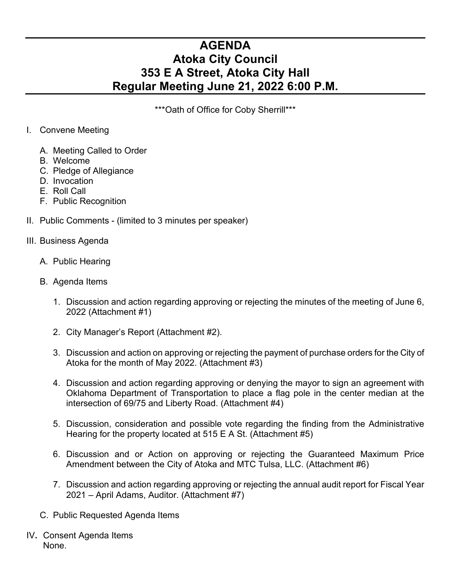## **AGENDA Atoka City Council 353 E A Street, Atoka City Hall Regular Meeting June 21, 2022 6:00 P.M.**

\*\*\*Oath of Office for Coby Sherrill\*\*\*

- I. Convene Meeting
	- A. Meeting Called to Order
	- B. Welcome
	- C. Pledge of Allegiance
	- D. Invocation
	- E. Roll Call
	- F. Public Recognition
- II. Public Comments (limited to 3 minutes per speaker)

## III. Business Agenda

- A. Public Hearing
- B. Agenda Items
	- 1. Discussion and action regarding approving or rejecting the minutes of the meeting of June 6, 2022 (Attachment #1)
	- 2. City Manager's Report (Attachment #2).
	- 3. Discussion and action on approving or rejecting the payment of purchase orders for the City of Atoka for the month of May 2022. (Attachment #3)
	- 4. Discussion and action regarding approving or denying the mayor to sign an agreement with Oklahoma Department of Transportation to place a flag pole in the center median at the intersection of 69/75 and Liberty Road. (Attachment #4)
	- 5. Discussion, consideration and possible vote regarding the finding from the Administrative Hearing for the property located at 515 E A St. (Attachment #5)
	- 6. Discussion and or Action on approving or rejecting the Guaranteed Maximum Price Amendment between the City of Atoka and MTC Tulsa, LLC. (Attachment #6)
	- 7. Discussion and action regarding approving or rejecting the annual audit report for Fiscal Year 2021 – April Adams, Auditor. (Attachment #7)
- C. Public Requested Agenda Items
- IV**.** Consent Agenda Items None.